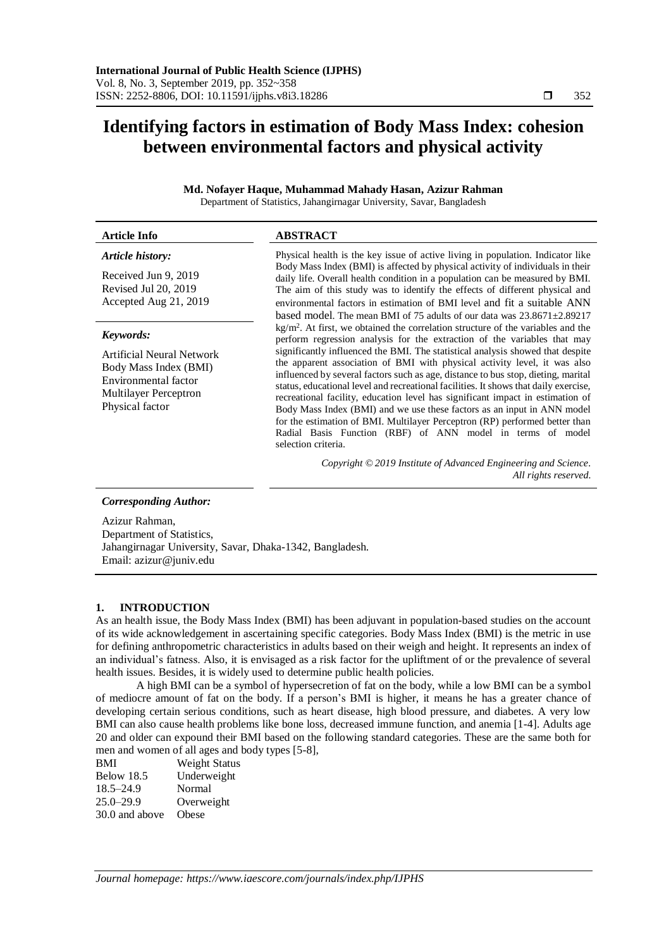# **Identifying factors in estimation of Body Mass Index: cohesion between environmental factors and physical activity**

## **Md. Nofayer Haque, Muhammad Mahady Hasan, Azizur Rahman** Department of Statistics, Jahangirnagar University, Savar, Bangladesh

| <b>Article Info</b>                                                                                                                        | <b>ABSTRACT</b>                                                                                                                                                                                                                                                                                                                                                                                                                                                                                                                                                                                                                                                                                                                                                                                                                                     |  |  |  |
|--------------------------------------------------------------------------------------------------------------------------------------------|-----------------------------------------------------------------------------------------------------------------------------------------------------------------------------------------------------------------------------------------------------------------------------------------------------------------------------------------------------------------------------------------------------------------------------------------------------------------------------------------------------------------------------------------------------------------------------------------------------------------------------------------------------------------------------------------------------------------------------------------------------------------------------------------------------------------------------------------------------|--|--|--|
| Article history:<br>Received Jun 9, 2019<br>Revised Jul 20, 2019<br>Accepted Aug 21, 2019                                                  | Physical health is the key issue of active living in population. Indicator like<br>Body Mass Index (BMI) is affected by physical activity of individuals in their<br>daily life. Overall health condition in a population can be measured by BMI.<br>The aim of this study was to identify the effects of different physical and<br>environmental factors in estimation of BMI level and fit a suitable ANN<br>based model. The mean BMI of 75 adults of our data was $23.8671 \pm 2.89217$                                                                                                                                                                                                                                                                                                                                                         |  |  |  |
| Keywords:<br>Artificial Neural Network<br>Body Mass Index (BMI)<br>Environmental factor<br><b>Multilayer Perceptron</b><br>Physical factor | $\text{kg/m}^2$ . At first, we obtained the correlation structure of the variables and the<br>perform regression analysis for the extraction of the variables that may<br>significantly influenced the BMI. The statistical analysis showed that despite<br>the apparent association of BMI with physical activity level, it was also<br>influenced by several factors such as age, distance to bus stop, dieting, marital<br>status, educational level and recreational facilities. It shows that daily exercise,<br>recreational facility, education level has significant impact in estimation of<br>Body Mass Index (BMI) and we use these factors as an input in ANN model<br>for the estimation of BMI. Multilayer Perceptron (RP) performed better than<br>Radial Basis Function (RBF) of ANN model in terms of model<br>selection criteria. |  |  |  |
|                                                                                                                                            | Copyright © 2019 Institute of Advanced Engineering and Science.<br>All rights reserved.                                                                                                                                                                                                                                                                                                                                                                                                                                                                                                                                                                                                                                                                                                                                                             |  |  |  |
| <b>Corresponding Author:</b><br>$\Lambda$ $\sim$ $\sim$ $\Lambda$ $\sim$ $\sim$                                                            |                                                                                                                                                                                                                                                                                                                                                                                                                                                                                                                                                                                                                                                                                                                                                                                                                                                     |  |  |  |

Azizur Rahman, Department of Statistics, Jahangirnagar University, Savar, Dhaka-1342, Bangladesh. Email: azizur@juniv.edu

# **1. INTRODUCTION**

As an health issue, the Body Mass Index (BMI) has been adjuvant in population-based studies on the account of its wide acknowledgement in ascertaining specific categories. Body Mass Index (BMI) is the metric in use for defining anthropometric characteristics in adults based on their weigh and height. It represents an index of an individual's fatness. Also, it is envisaged as a risk factor for the upliftment of or the prevalence of several health issues. Besides, it is widely used to determine public health policies.

A high BMI can be a symbol of hypersecretion of fat on the body, while a low BMI can be a symbol of mediocre amount of fat on the body. If a person's BMI is higher, it means he has a greater chance of developing certain serious conditions, such as heart disease, high blood pressure, and diabetes. A very low BMI can also cause health problems like bone loss, decreased immune function, and anemia [1-4]. Adults age 20 and older can expound their BMI based on the following standard categories. These are the same both for men and women of all ages and body types [5-8],

| <b>BMI</b>     | Weight Status |
|----------------|---------------|
| Below 18.5     | Underweight   |
| $18.5 - 24.9$  | Normal        |
| $25.0 - 29.9$  | Overweight    |
| 30.0 and above | Obese         |
|                |               |

*Journal homepage: https://www.iaescore.com/journals/index.php/IJPHS*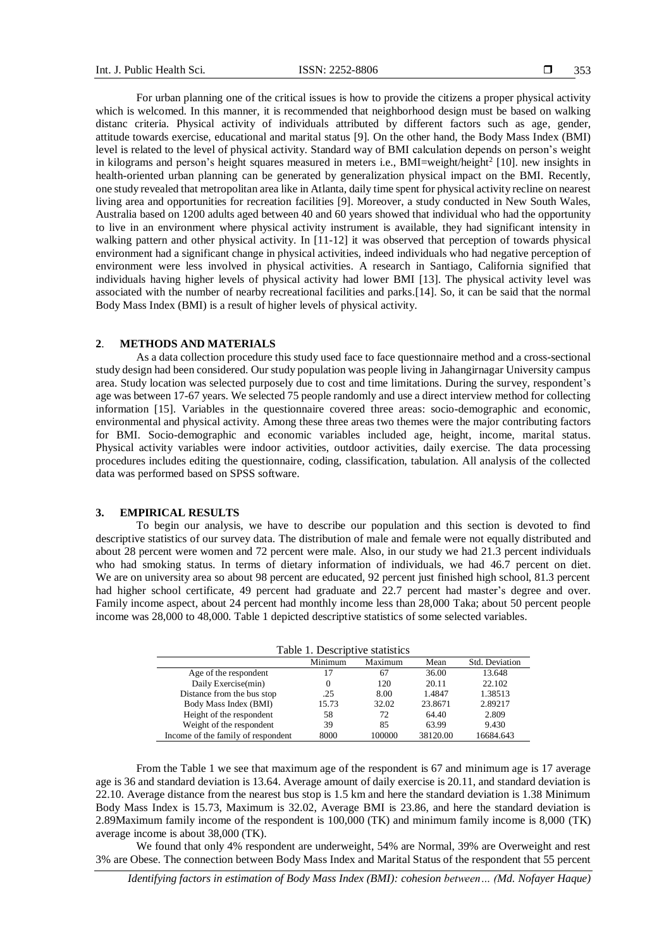For urban planning one of the critical issues is how to provide the citizens a proper physical activity which is welcomed. In this manner, it is recommended that neighborhood design must be based on walking distanc criteria. Physical activity of individuals attributed by different factors such as age, gender, attitude towards exercise, educational and marital status [9]. On the other hand, the Body Mass Index (BMI) level is related to the level of physical activity. Standard way of BMI calculation depends on person's weight in kilograms and person's height squares measured in meters i.e., BMI=weight/height<sup>2</sup> [10]. new insights in health-oriented urban planning can be generated by generalization physical impact on the BMI. Recently, one study revealed that metropolitan area like in Atlanta, daily time spent for physical activity recline on nearest living area and opportunities for recreation facilities [9]. Moreover, a study conducted in New South Wales, Australia based on 1200 adults aged between 40 and 60 years showed that individual who had the opportunity to live in an environment where physical activity instrument is available, they had significant intensity in walking pattern and other physical activity. In [11-12] it was observed that perception of towards physical environment had a significant change in physical activities, indeed individuals who had negative perception of environment were less involved in physical activities. A research in Santiago, California signified that individuals having higher levels of physical activity had lower BMI [13]. The physical activity level was associated with the number of nearby recreational facilities and parks.[14]. So, it can be said that the normal Body Mass Index (BMI) is a result of higher levels of physical activity.

#### **2**. **METHODS AND MATERIALS**

As a data collection procedure this study used face to face questionnaire method and a cross-sectional study design had been considered. Our study population was people living in Jahangirnagar University campus area. Study location was selected purposely due to cost and time limitations. During the survey, respondent's age was between 17-67 years. We selected 75 people randomly and use a direct interview method for collecting information [15]. Variables in the questionnaire covered three areas: socio-demographic and economic, environmental and physical activity. Among these three areas two themes were the major contributing factors for BMI. Socio-demographic and economic variables included age, height, income, marital status. Physical activity variables were indoor activities, outdoor activities, daily exercise. The data processing procedures includes editing the questionnaire, coding, classification, tabulation. All analysis of the collected data was performed based on SPSS software.

# **3. EMPIRICAL RESULTS**

To begin our analysis, we have to describe our population and this section is devoted to find descriptive statistics of our survey data. The distribution of male and female were not equally distributed and about 28 percent were women and 72 percent were male. Also, in our study we had 21.3 percent individuals who had smoking status. In terms of dietary information of individuals, we had 46.7 percent on diet. We are on university area so about 98 percent are educated, 92 percent just finished high school, 81.3 percent had higher school certificate, 49 percent had graduate and 22.7 percent had master's degree and over. Family income aspect, about 24 percent had monthly income less than 28,000 Taka; about 50 percent people income was 28,000 to 48,000. Table 1 depicted descriptive statistics of some selected variables.

| Table 1. Descriptive statistics    |         |         |          |                |  |
|------------------------------------|---------|---------|----------|----------------|--|
|                                    | Minimum | Maximum | Mean     | Std. Deviation |  |
| Age of the respondent              | 17      | 67      | 36.00    | 13.648         |  |
| Daily Exercise(min)                | 0       | 120     | 20.11    | 22.102         |  |
| Distance from the bus stop         | .25     | 8.00    | 1.4847   | 1.38513        |  |
| Body Mass Index (BMI)              | 15.73   | 32.02   | 23.8671  | 2.89217        |  |
| Height of the respondent           | 58      | 72      | 64.40    | 2.809          |  |
| Weight of the respondent           | 39      | 85      | 63.99    | 9.430          |  |
| Income of the family of respondent | 8000    | 100000  | 38120.00 | 16684.643      |  |

From the Table 1 we see that maximum age of the respondent is 67 and minimum age is 17 average age is 36 and standard deviation is 13.64. Average amount of daily exercise is 20.11, and standard deviation is 22.10. Average distance from the nearest bus stop is 1.5 km and here the standard deviation is 1.38 Minimum Body Mass Index is 15.73, Maximum is 32.02, Average BMI is 23.86, and here the standard deviation is 2.89Maximum family income of the respondent is 100,000 (TK) and minimum family income is 8,000 (TK) average income is about 38,000 (TK).

We found that only 4% respondent are underweight, 54% are Normal, 39% are Overweight and rest 3% are Obese. The connection between Body Mass Index and Marital Status of the respondent that 55 percent

*Identifying factors in estimation of Body Mass Index (BMI): cohesion between… (Md. Nofayer Haque)*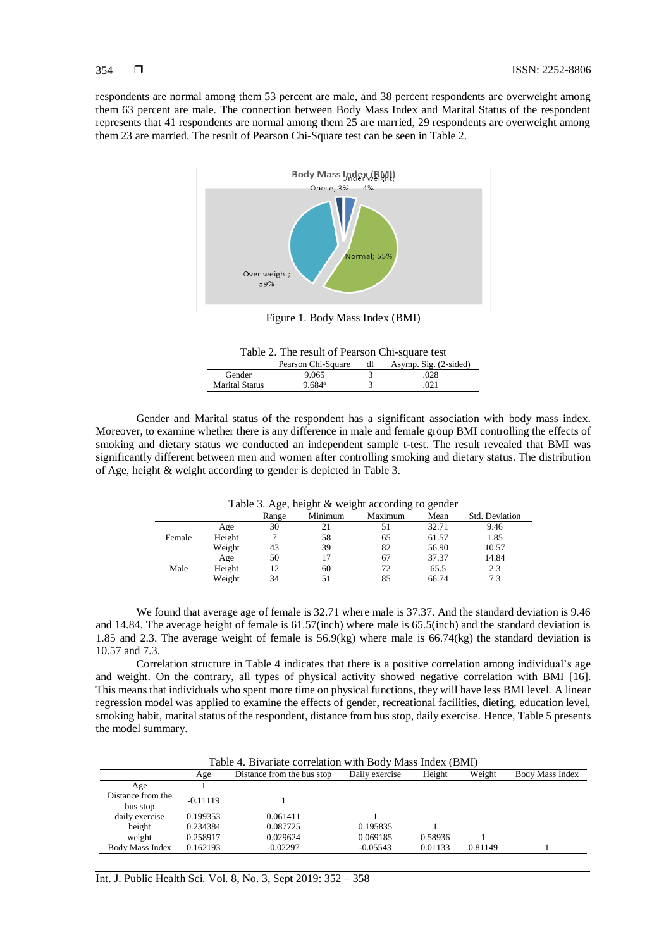respondents are normal among them 53 percent are male, and 38 percent respondents are overweight among them 63 percent are male. The connection between Body Mass Index and Marital Status of the respondent represents that 41 respondents are normal among them 25 are married, 29 respondents are overweight among them 23 are married. The result of Pearson Chi-Square test can be seen in Table 2.



Figure 1. Body Mass Index (BMI)

| Table 2. The result of Pearson Chi-square test |    |                       |
|------------------------------------------------|----|-----------------------|
| Pearson Chi-Square                             | df | Asymp. Sig. (2-sided) |

|                       | Pearson Uni-Square | aı | $\Delta$ svmp. $\Delta$ ig. (2-sided) |
|-----------------------|--------------------|----|---------------------------------------|
| Gender                | 9.065              |    | .028                                  |
| <b>Marital Status</b> | 9.684ª             |    | .021                                  |
|                       |                    |    |                                       |

Gender and Marital status of the respondent has a significant association with body mass index. Moreover, to examine whether there is any difference in male and female group BMI controlling the effects of smoking and dietary status we conducted an independent sample t-test. The result revealed that BMI was significantly different between men and women after controlling smoking and dietary status. The distribution of Age, height & weight according to gender is depicted in Table 3.

Table 3. Age, height  $\&$  weight according to gender

|        |        | Range | Minimum | Maximum | Mean  | Std. Deviation |
|--------|--------|-------|---------|---------|-------|----------------|
|        | Age    | 30    |         |         | 32.71 | 9.46           |
| Female | Height |       | 58      | 65      | 61.57 | 1.85           |
|        | Weight | 43    | 39      | 82      | 56.90 | 10.57          |
|        | Age    | 50    |         | 67      | 37.37 | 14.84          |
| Male   | Height | 12    | 60      | 72      | 65.5  | 2.3            |
|        | Weight | 34    |         | 85      | 66.74 |                |

We found that average age of female is 32.71 where male is 37.37. And the standard deviation is 9.46 and 14.84. The average height of female is 61.57(inch) where male is 65.5(inch) and the standard deviation is 1.85 and 2.3. The average weight of female is  $56.9$ (kg) where male is  $66.74$ (kg) the standard deviation is 10.57 and 7.3.

Correlation structure in Table 4 indicates that there is a positive correlation among individual's age and weight. On the contrary, all types of physical activity showed negative correlation with BMI [16]. This means that individuals who spent more time on physical functions, they will have less BMI level. A linear regression model was applied to examine the effects of gender, recreational facilities, dieting, education level, smoking habit, marital status of the respondent, distance from bus stop, daily exercise. Hence, Table 5 presents the model summary.

| Table 4. Bivariate correlation with Body Mass Index (BMI) |            |                            |                |         |         |                 |  |
|-----------------------------------------------------------|------------|----------------------------|----------------|---------|---------|-----------------|--|
|                                                           | Age        | Distance from the bus stop | Daily exercise | Height  | Weight  | Body Mass Index |  |
| Age                                                       |            |                            |                |         |         |                 |  |
| Distance from the<br>bus stop                             | $-0.11119$ |                            |                |         |         |                 |  |
| daily exercise                                            | 0.199353   | 0.061411                   |                |         |         |                 |  |
| height                                                    | 0.234384   | 0.087725                   | 0.195835       |         |         |                 |  |
| weight                                                    | 0.258917   | 0.029624                   | 0.069185       | 0.58936 |         |                 |  |
| <b>Body Mass Index</b>                                    | 0.162193   | $-0.02297$                 | $-0.05543$     | 0.01133 | 0.81149 |                 |  |

Int. J. Public Health Sci. Vol. 8, No. 3, Sept 2019: 352 – 358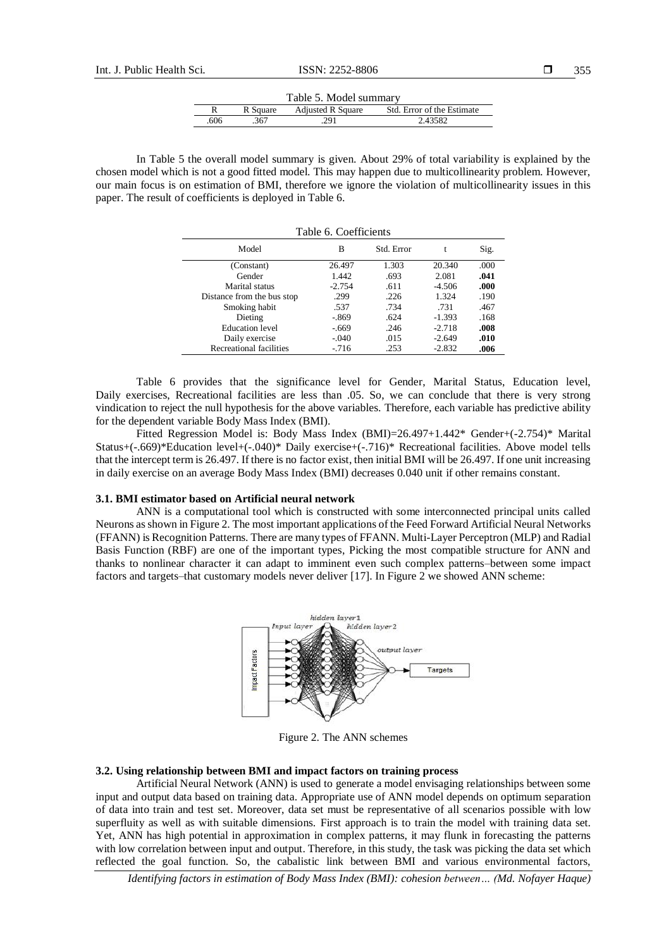| Table 5. Model summary                                             |     |     |         |  |  |  |
|--------------------------------------------------------------------|-----|-----|---------|--|--|--|
| Std. Error of the Estimate<br><b>Adjusted R Square</b><br>R Square |     |     |         |  |  |  |
| .606                                                               | 367 | 291 | 2.43582 |  |  |  |

In Table 5 the overall model summary is given. About 29% of total variability is explained by the chosen model which is not a good fitted model. This may happen due to multicollinearity problem. However, our main focus is on estimation of BMI, therefore we ignore the violation of multicollinearity issues in this paper. The result of coefficients is deployed in Table 6.

| Table 6. Coefficients      |                         |       |          |      |  |  |  |  |  |
|----------------------------|-------------------------|-------|----------|------|--|--|--|--|--|
| Model                      | Std. Error<br>Sig.<br>в |       |          |      |  |  |  |  |  |
| (Constant)                 | 26.497                  | 1.303 | 20.340   | .000 |  |  |  |  |  |
| Gender                     | 1.442                   | .693  | 2.081    | .041 |  |  |  |  |  |
| Marital status             | $-2.754$                | .611  | $-4.506$ | .000 |  |  |  |  |  |
| Distance from the bus stop | .299                    | .226  | 1.324    | .190 |  |  |  |  |  |
| Smoking habit              | .537                    | .734  | .731     | .467 |  |  |  |  |  |
| Dieting                    | $-.869$                 | .624  | $-1.393$ | .168 |  |  |  |  |  |
| <b>Education</b> level     | $-.669$                 | .246  | $-2.718$ | .008 |  |  |  |  |  |
| Daily exercise             | $-.040$                 | .015  | $-2.649$ | .010 |  |  |  |  |  |
| Recreational facilities    | $-716$                  | .253  | $-2.832$ | .006 |  |  |  |  |  |

Table 6 provides that the significance level for Gender, Marital Status, Education level, Daily exercises, Recreational facilities are less than .05. So, we can conclude that there is very strong vindication to reject the null hypothesis for the above variables. Therefore, each variable has predictive ability for the dependent variable Body Mass Index (BMI).

Fitted Regression Model is: Body Mass Index (BMI)=26.497+1.442\* Gender+(-2.754)\* Marital Status+(-.669)\*Education level+(-.040)\* Daily exercise+(-.716)\* Recreational facilities. Above model tells that the intercept term is 26.497. If there is no factor exist, then initial BMI will be 26.497. If one unit increasing in daily exercise on an average Body Mass Index (BMI) decreases 0.040 unit if other remains constant.

## **3.1. BMI estimator based on Artificial neural network**

ANN is a computational tool which is constructed with some interconnected principal units called Neurons as shown in Figure 2. The most important applications of the Feed Forward Artificial Neural Networks (FFANN) is Recognition Patterns. There are many types of FFANN. Multi-Layer Perceptron (MLP) and Radial Basis Function (RBF) are one of the important types, Picking the most compatible structure for ANN and thanks to nonlinear character it can adapt to imminent even such complex patterns–between some impact factors and targets–that customary models never deliver [17]. In Figure 2 we showed ANN scheme:



Figure 2. The ANN schemes

## **3.2. Using relationship between BMI and impact factors on training process**

Artificial Neural Network (ANN) is used to generate a model envisaging relationships between some input and output data based on training data. Appropriate use of ANN model depends on optimum separation of data into train and test set. Moreover, data set must be representative of all scenarios possible with low superfluity as well as with suitable dimensions. First approach is to train the model with training data set. Yet, ANN has high potential in approximation in complex patterns, it may flunk in forecasting the patterns with low correlation between input and output. Therefore, in this study, the task was picking the data set which reflected the goal function. So, the cabalistic link between BMI and various environmental factors,

*Identifying factors in estimation of Body Mass Index (BMI): cohesion between… (Md. Nofayer Haque)*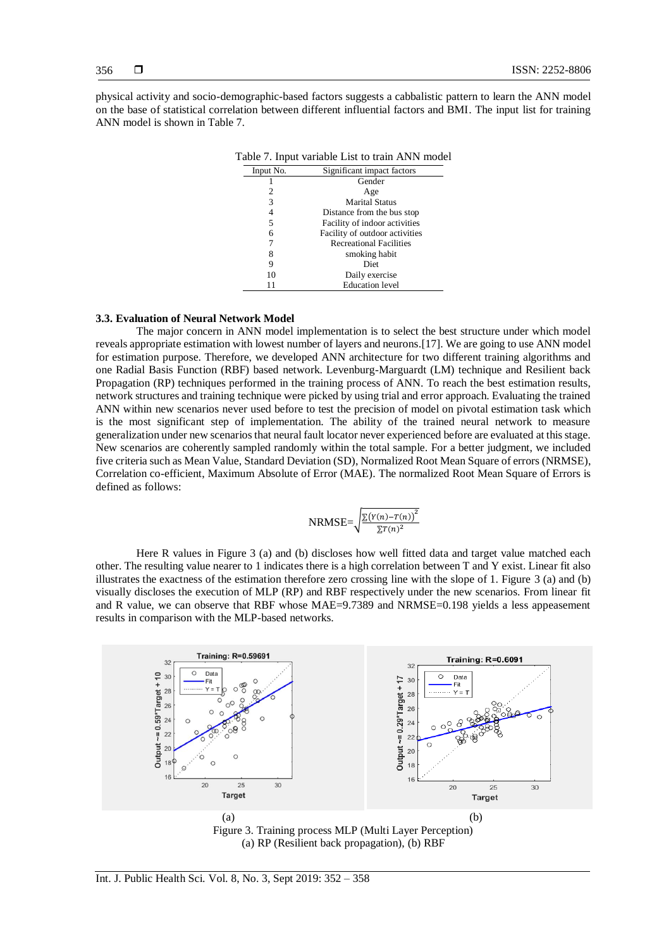356

physical activity and socio-demographic-based factors suggests a cabbalistic pattern to learn the ANN model on the base of statistical correlation between different influential factors and BMI. The input list for training ANN model is shown in Table 7.

|   | Table 7. Input variable List to train ANN model |                                |  |  |  |  |  |
|---|-------------------------------------------------|--------------------------------|--|--|--|--|--|
|   | Input No.                                       | Significant impact factors     |  |  |  |  |  |
|   |                                                 | Gender                         |  |  |  |  |  |
|   | 2                                               | Age                            |  |  |  |  |  |
|   | 3                                               | <b>Marital Status</b>          |  |  |  |  |  |
| 4 |                                                 | Distance from the bus stop     |  |  |  |  |  |
| 5 |                                                 | Facility of indoor activities  |  |  |  |  |  |
| 6 |                                                 | Facility of outdoor activities |  |  |  |  |  |
|   |                                                 | <b>Recreational Facilities</b> |  |  |  |  |  |
|   | 8                                               | smoking habit                  |  |  |  |  |  |
|   | 9                                               | Diet                           |  |  |  |  |  |
|   | 10                                              | Daily exercise                 |  |  |  |  |  |
|   |                                                 | <b>Education</b> level         |  |  |  |  |  |

## **3.3. Evaluation of Neural Network Model**

The major concern in ANN model implementation is to select the best structure under which model reveals appropriate estimation with lowest number of layers and neurons.[17]. We are going to use ANN model for estimation purpose. Therefore, we developed ANN architecture for two different training algorithms and one Radial Basis Function (RBF) based network. Levenburg-Marguardt (LM) technique and Resilient back Propagation (RP) techniques performed in the training process of ANN. To reach the best estimation results, network structures and training technique were picked by using trial and error approach. Evaluating the trained ANN within new scenarios never used before to test the precision of model on pivotal estimation task which is the most significant step of implementation. The ability of the trained neural network to measure generalization under new scenarios that neural fault locator never experienced before are evaluated at this stage. New scenarios are coherently sampled randomly within the total sample. For a better judgment, we included five criteria such as Mean Value, Standard Deviation (SD), Normalized Root Mean Square of errors (NRMSE), Correlation co-efficient, Maximum Absolute of Error (MAE). The normalized Root Mean Square of Errors is defined as follows:

$$
NRMSE = \sqrt{\frac{\sum (Y(n) - T(n))^2}{\sum T(n)^2}}
$$

Here R values in Figure 3 (a) and (b) discloses how well fitted data and target value matched each other. The resulting value nearer to 1 indicates there is a high correlation between T and Y exist. Linear fit also illustrates the exactness of the estimation therefore zero crossing line with the slope of 1. Figure  $3$  (a) and (b) visually discloses the execution of MLP (RP) and RBF respectively under the new scenarios. From linear fit and R value, we can observe that RBF whose MAE=9.7389 and NRMSE=0.198 yields a less appeasement results in comparison with the MLP-based networks.

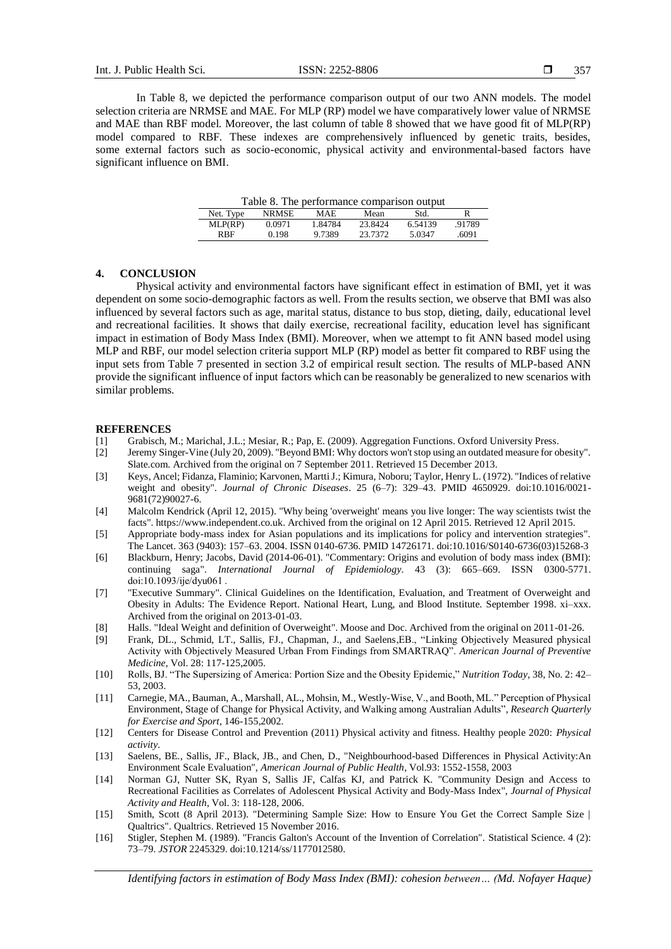In Table 8, we depicted the performance comparison output of our two ANN models. The model selection criteria are NRMSE and MAE. For MLP (RP) model we have comparatively lower value of NRMSE and MAE than RBF model. Moreover, the last column of table 8 showed that we have good fit of MLP(RP) model compared to RBF. These indexes are comprehensively influenced by genetic traits, besides, some external factors such as socio-economic, physical activity and environmental-based factors have significant influence on BMI.

Table 8. The performance comparison output

| Net. Type   | NR MSE | MAE     | Mean    | Std.    |        |
|-------------|--------|---------|---------|---------|--------|
| MLP(RP)     | 0.0971 | 1.84784 | 23.8424 | 6.54139 | .91789 |
| <b>R</b> BF | 0.198  | 9.7389  | 23 7372 | 5.0347  | .6091  |

## **4. CONCLUSION**

Physical activity and environmental factors have significant effect in estimation of BMI, yet it was dependent on some socio-demographic factors as well. From the results section, we observe that BMI was also influenced by several factors such as age, marital status, distance to bus stop, dieting, daily, educational level and recreational facilities. It shows that daily exercise, recreational facility, education level has significant impact in estimation of Body Mass Index (BMI). Moreover, when we attempt to fit ANN based model using MLP and RBF, our model selection criteria support MLP (RP) model as better fit compared to RBF using the input sets from Table 7 presented in section 3.2 of empirical result section. The results of MLP-based ANN provide the significant influence of input factors which can be reasonably be generalized to new scenarios with similar problems.

#### **REFERENCES**

- [1] Grabisch, M.; Marichal, J.L.; Mesiar, R.; Pap, E. (2009). Aggregation Functions. Oxford University Press.
- [2] Jeremy Singer-Vine (July 20, 2009). "Beyond BMI: Why doctors won't stop using an outdated measure for obesity". Slate.com. Archived from the original on 7 September 2011. Retrieved 15 December 2013.
- [3] Keys, Ancel; Fidanza, Flaminio; Karvonen, Martti J.; Kimura, Noboru; Taylor, Henry L. (1972). "Indices of relative weight and obesity". *Journal of Chronic Diseases*. 25 (6–7): 329–43. PMID 4650929. doi:10.1016/0021- 9681(72)90027-6.
- [4] Malcolm Kendrick (April 12, 2015). "Why being 'overweight' means you live longer: The way scientists twist the facts". https://www.independent.co.uk. Archived from the original on 12 April 2015. Retrieved 12 April 2015.
- [5] Appropriate body-mass index for Asian populations and its implications for policy and intervention strategies". The Lancet. 363 (9403): 157–63. 2004. ISSN 0140-6736. PMID 14726171. doi:10.1016/S0140-6736(03)15268-3
- [6] Blackburn, Henry; Jacobs, David (2014-06-01). "Commentary: Origins and evolution of body mass index (BMI): continuing saga". *International Journal of Epidemiology*. 43 (3): 665–669. ISSN 0300-5771. doi:10.1093/ije/dyu061 .
- [7] "Executive Summary". Clinical Guidelines on the Identification, Evaluation, and Treatment of Overweight and Obesity in Adults: The Evidence Report. National Heart, Lung, and Blood Institute. September 1998. xi–xxx. Archived from the original on 2013-01-03.
- [8] Halls. "Ideal Weight and definition of Overweight". Moose and Doc. Archived from the original on 2011-01-26.
- [9] Frank, DL., Schmid, LT., Sallis, FJ., Chapman, J., and Saelens,EB., "Linking Objectively Measured physical Activity with Objectively Measured Urban From Findings from SMARTRAQ". *American Journal of Preventive Medicine*, Vol. 28: 117-125,2005.
- [10] Rolls, BJ. "The Supersizing of America: Portion Size and the Obesity Epidemic," *Nutrition Today*, 38, No. 2: 42– 53, 2003.
- [11] Carnegie, MA., Bauman, A., Marshall, AL., Mohsin, M., Westly-Wise, V., and Booth, ML." Perception of Physical Environment, Stage of Change for Physical Activity, and Walking among Australian Adults", *Research Quarterly for Exercise and Sport*, 146-155,2002.
- [12] Centers for Disease Control and Prevention (2011) Physical activity and fitness. Healthy people 2020: *Physical activity*.
- [13] Saelens, BE., Sallis, JF., Black, JB., and Chen, D., "Neighbourhood-based Differences in Physical Activity:An Environment Scale Evaluation", *American Journal of Public Health*, Vol.93: 1552-1558, 2003
- [14] Norman GJ, Nutter SK, Ryan S, Sallis JF, Calfas KJ, and Patrick K. "Community Design and Access to Recreational Facilities as Correlates of Adolescent Physical Activity and Body-Mass Index", *Journal of Physical Activity and Health*, Vol. 3: 118-128, 2006.
- [15] Smith, Scott (8 April 2013). "Determining Sample Size: How to Ensure You Get the Correct Sample Size | Qualtrics". Qualtrics. Retrieved 15 November 2016.
- [16] Stigler, Stephen M. (1989). "Francis Galton's Account of the Invention of Correlation". Statistical Science. 4 (2): 73–79. *JSTOR* 2245329. doi:10.1214/ss/1177012580.

*Identifying factors in estimation of Body Mass Index (BMI): cohesion between… (Md. Nofayer Haque)*